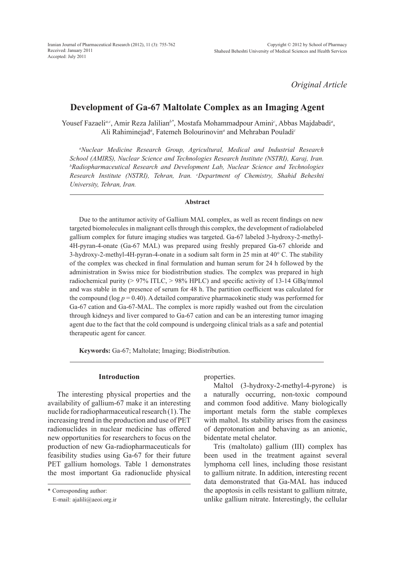*Original Article*

# **Development of Ga-67 Maltolate Complex as an Imaging Agent**

Yousef Fazaeli<sup>a,c</sup>, Amir Reza Jalilian<sup>b\*</sup>, Mostafa Mohammadpour Amini<sup>c</sup>, Abbas Majdabadi<sup>a</sup>, Ali Rahiminejad*<sup>a</sup>* , Fatemeh Bolourinovin*<sup>a</sup>* and Mehraban Pouladi*<sup>c</sup>*

*a Nuclear Medicine Research Group, Agricultural, Medical and Industrial Research School (AMIRS), Nuclear Science and Technologies Research Institute (NSTRI), Karaj, Iran. b Radiopharmaceutical Research and Development Lab, Nuclear Science and Technologies Research Institute (NSTRI), Tehran, Iran. c Department of Chemistry, Shahid Beheshti University, Tehran, Iran.*

## **Abstract**

Due to the antitumor activity of Gallium MAL complex, as well as recent findings on new targeted biomolecules in malignant cells through this complex, the development of radiolabeled gallium complex for future imaging studies was targeted. Ga-67 labeled 3-hydroxy-2-methyl-4H-pyran-4-onate (Ga-67 MAL) was prepared using freshly prepared Ga-67 chloride and 3-hydroxy-2-methyl-4H-pyran-4-onate in a sodium salt form in 25 min at 40° C. The stability of the complex was checked in final formulation and human serum for 24 h followed by the administration in Swiss mice for biodistribution studies. The complex was prepared in high radiochemical purity (> 97% ITLC, > 98% HPLC) and specific activity of 13-14 GBq/mmol and was stable in the presence of serum for 48 h. The partition coefficient was calculated for the compound ( $log p = 0.40$ ). A detailed comparative pharmacokinetic study was performed for Ga-67 cation and Ga-67-MAL. The complex is more rapidly washed out from the circulation through kidneys and liver compared to Ga-67 cation and can be an interesting tumor imaging agent due to the fact that the cold compound is undergoing clinical trials as a safe and potential therapeutic agent for cancer.

**Keywords:** Ga-67; Maltolate; Imaging; Biodistribution.

# **Introduction**

The interesting physical properties and the availability of gallium-67 make it an interesting nuclide for radiopharmaceutical research (1). The increasing trend in the production and use of PET radionuclides in nuclear medicine has offered new opportunities for researchers to focus on the production of new Ga-radiopharmaceuticals for feasibility studies using Ga-67 for their future PET gallium homologs. Table 1 demonstrates the most important Ga radionuclide physical properties.

Maltol (3-hydroxy-2-methyl-4-pyrone) is a naturally occurring, non-toxic compound and common food additive. Many biologically important metals form the stable complexes with maltol. Its stability arises from the easiness of deprotonation and behaving as an anionic, bidentate metal chelator.

Tris (maltolato) gallium (III) complex has been used in the treatment against several lymphoma cell lines, including those resistant to gallium nitrate. In addition, interesting recent data demonstrated that Ga-MAL has induced the apoptosis in cells resistant to gallium nitrate, unlike gallium nitrate. Interestingly, the cellular

<sup>\*</sup> Corresponding author:

E-mail: ajalili@aeoi.org.ir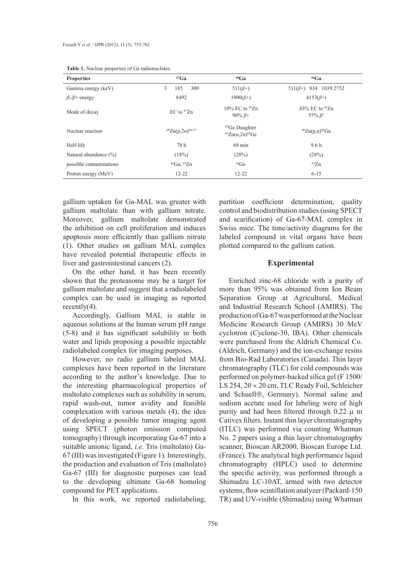| <b>Properties</b>           | ${}^{67}Ga$             | ${}^{68}Ga$                                                  | $66$ Ga                                     |
|-----------------------------|-------------------------|--------------------------------------------------------------|---------------------------------------------|
| Gamma energy (keV)          | 300<br>3<br>185         | $511(\beta+)$                                                | 511( $\beta$ +) 834 1039 2752               |
| $\beta$ -/ $\beta$ + energy | 8492                    | $1900(B+)$                                                   | $4153(B+)$                                  |
| Mode of decay               | $EC$ to ${}^{67}Zn$     | 10% EC to <sup>68</sup> Zn<br>$90\% \beta +$                 | 43% EC to <sup>66</sup> Zn<br>57% $\beta^+$ |
| Nuclear reaction            | ${}^{68}Zn(p,2n)$ Ga-67 | <sup>68</sup> Ge Daughter<br>${}^{66}Zn(\alpha,2n){}^{68}Ge$ | ${}^{66}Zn(p,n)$ <sup>66</sup> Ga           |
| Half-life                   | 78 h                    | $68 \text{ min}$                                             | 9.6 <sub>h</sub>                            |
| Natural abundance $(\% )$   | (18%)                   | (28%)                                                        | (28%)                                       |
| possible contaminations     | ${}^{66}Ga, {}^{65}Zn$  | ${}^{68}Ge$                                                  | ${}^{65}Zn$                                 |
| Proton energy (MeV)         | $12 - 22$               | $12 - 22$                                                    | $6 - 15$                                    |

| <b>Table 1.</b> Nuclear properties of Ga radionuclides. |  |  |  |
|---------------------------------------------------------|--|--|--|
|---------------------------------------------------------|--|--|--|

gallium uptaken for Ga-MAL was greater with gallium maltolate than with gallium nitrate. Moreover, gallium maltolate demonstrated the inhibition on cell proliferation and induces apoptosis more efficiently than gallium nitrate (1). Other studies on gallium MAL complex have revealed potential therapeutic effects in liver and gastrointestinal cancers (2).

On the other hand, it has been recently shown that the proteasome may be a target for gallium maltolate and suggest that a radiolabeled complex can be used in imaging as reported recently $(4)$ .

Accordingly, Gallium MAL is stable in aqueous solutions at the human serum pH range (5-8) and it has significant solubility in both water and lipids proposing a possible injectable radiolabeled complex for imaging purposes.

However, no radio gallium labeled MAL complexes have been reported in the literature according to the author's knowledge. Due to the interesting pharmacological properties of maltolato complexes such as solubility in serum, rapid wash-out, tumor avidity and feasible complexation with various metals (4), the idea of developing a possible tumor imaging agent using SPECT (photon emission computed tomography) through incorporating Ga-67 into a suitable anionic ligand, *i.e*. Tris (maltolato) Ga-67 (III) was investigated (Figure 1). Interestingly, the production and evaluation of Tris (maltolato) Ga-67 (III) for diagnostic purposes can lead to the developing ultimate Ga-68 homolog compound for PET applications.

In this work, we reported radiolabeling,

partition coefficient determination, quality control and biodistribution studies (using SPECT and scarification) of Ga-67-MAL complex in Swiss mice. The time/activity diagrams for the labeled compound in vital organs have been plotted compared to the gallium cation.

## **Experimental**

Enriched zinc-68 chloride with a purity of more than 95% was obtained from Ion Beam Separation Group at Agricultural, Medical and Industrial Research School (AMIRS). The production of Ga-67 was performed at the Nuclear Medicine Research Group (AMIRS) 30 MeV cyclotron (Cyclone-30, IBA). Other chemicals were purchased from the Aldrich Chemical Co. (Aldrich, Germany) and the ion-exchange resins from Bio-Rad Laboratories (Canada). Thin layer chromatography (TLC) for cold compounds was performed on polymer-backed silica gel (F 1500/ LS 254,  $20 \times 20$  cm, TLC Ready Foil, Schleicher and Schuell<sup>®</sup>, Germany). Normal saline and sodium acetate used for labeling were of high purity and had been filtered through  $0.22 \mu$  m Cativex filters. Instant thin layer chromatography (ITLC) was performed via counting Whatman No. 2 papers using a thin layer chromatography scanner, Bioscan AR2000, Bioscan Europe Ltd. (France). The analytical high performance liquid chromatography (HPLC) used to determine the specific activity, was performed through a Shimadzu LC-10AT, armed with two detector systems, flow scintillation analyzer (Packard-150 TR) and UV-visible (Shimadzu) using Whatman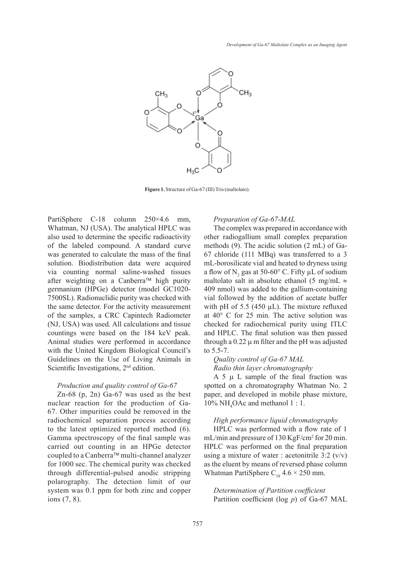

**Figure 1.** Structure of Ga-67 (III) Tris (maltolato).

PartiSphere C-18 column 250×4.6 mm, Whatman, NJ (USA). The analytical HPLC was also used to determine the specific radioactivity of the labeled compound. A standard curve was generated to calculate the mass of the final solution. Biodistribution data were acquired via counting normal saline-washed tissues after weighting on a Canberra™ high purity germanium (HPGe) detector (model GC1020- 7500SL). Radionuclidic purity was checked with the same detector. For the activity measurement of the samples, a CRC Capintech Radiometer (NJ, USA) was used. All calculations and tissue countings were based on the 184 keV peak. Animal studies were performed in accordance with the United Kingdom Biological Council's Guidelines on the Use of Living Animals in Scientific Investigations, 2<sup>nd</sup> edition.

# *Production and quality control of Ga-67*

Zn-68 (p, 2n) Ga-67 was used as the best nuclear reaction for the production of Ga-67. Other impurities could be removed in the radiochemical separation process according to the latest optimized reported method (6). Gamma spectroscopy of the final sample was carried out counting in an HPGe detector coupled to a Canberra™ multi-channel analyzer for 1000 sec. The chemical purity was checked through differential-pulsed anodic stripping polarography. The detection limit of our system was 0.1 ppm for both zinc and copper ions (7, 8).

# *Preparation of Ga-67-MAL*

The complex was prepared in accordance with other radiogallium small complex preparation methods (9). The acidic solution (2 mL) of Ga-67 chloride (111 MBq) was transferred to a 3 mL-borosilicate vial and heated to dryness using a flow of  $N_2$  gas at 50-60° C. Fifty  $\mu$ L of sodium maltolato salt in absolute ethanol (5 mg/mL  $\approx$ 409 nmol) was added to the gallium-containing vial followed by the addition of acetate buffer with pH of 5.5 (450  $\mu$ L). The mixture refluxed at 40° C for 25 min. The active solution was checked for radiochemical purity using ITLC and HPLC. The final solution was then passed through a  $0.22 \mu$  m filter and the pH was adjusted to 5.5-7.

*Quality control of Ga-67 MAL Radio thin layer chromatography*

A  $5 \mu$  L sample of the final fraction was spotted on a chromatography Whatman No. 2 paper, and developed in mobile phase mixture,  $10\% \text{ NH}_4\text{OAc}$  and methanol 1 : 1.

# *High performance liquid chromatography*

HPLC was performed with a flow rate of 1 mL/min and pressure of 130 KgF/cm<sup>2</sup> for 20 min. HPLC was performed on the final preparation using a mixture of water : acetonitrile  $3:2 \frac{(v/v)}{v}$ as the eluent by means of reversed phase column Whatman PartiSphere  $C_{18}$  4.6  $\times$  250 mm.

*Determination of Partition coefficient* Partition coefficient (log *p*) of Ga-67 MAL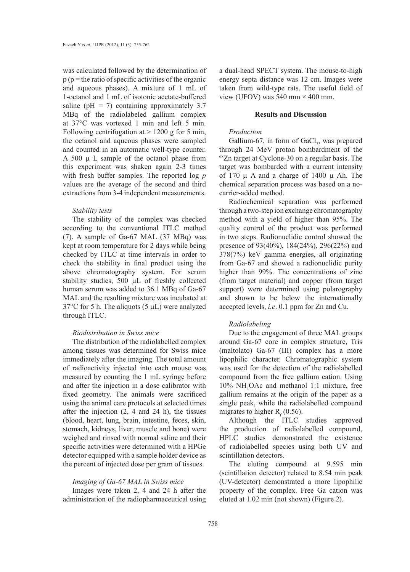was calculated followed by the determination of  $p(p)$  = the ratio of specific activities of the organic and aqueous phases). A mixture of 1 mL of 1-octanol and 1 mL of isotonic acetate-buffered saline ( $pH = 7$ ) containing approximately 3.7 MBq of the radiolabeled gallium complex at 37°C was vortexed 1 min and left 5 min. Following centrifugation at  $> 1200$  g for 5 min, the octanol and aqueous phases were sampled and counted in an automatic well-type counter. A 500  $\mu$  L sample of the octanol phase from this experiment was shaken again 2-3 times with fresh buffer samples. The reported log *p*  values are the average of the second and third extractions from 3-4 independent measurements.

# *Stability tests*

The stability of the complex was checked according to the conventional ITLC method (7). A sample of Ga-67 MAL (37 MBq) was kept at room temperature for 2 days while being checked by ITLC at time intervals in order to check the stability in final product using the above chromatography system. For serum stability studies,  $500 \mu L$  of freshly collected human serum was added to 36.1 MBq of Ga-67 MAL and the resulting mixture was incubated at  $37^{\circ}$ C for 5 h. The aliquots (5 µL) were analyzed through ITLC.

# *Biodistribution in Swiss mice*

The distribution of the radiolabelled complex among tissues was determined for Swiss mice immediately after the imaging. The total amount of radioactivity injected into each mouse was measured by counting the 1 mL syringe before and after the injection in a dose calibrator with fixed geometry. The animals were sacrificed using the animal care protocols at selected times after the injection (2, 4 and 24 h), the tissues (blood, heart, lung, brain, intestine, feces, skin, stomach, kidneys, liver, muscle and bone) were weighed and rinsed with normal saline and their specific activities were determined with a HPGe detector equipped with a sample holder device as the percent of injected dose per gram of tissues.

## *Imaging of Ga-67 MAL in Swiss mice*

Images were taken 2, 4 and 24 h after the administration of the radiopharmaceutical using a dual-head SPECT system. The mouse-to-high energy septa distance was 12 cm. Images were taken from wild-type rats. The useful field of view (UFOV) was 540 mm  $\times$  400 mm.

#### **Results and Discussion**

## *Production*

Gallium-67, in form of  $GaCl<sub>3</sub>$ , was prepared through 24 MeV proton bombardment of the 68Zn target at Cyclone-30 on a regular basis. The target was bombarded with a current intensity of 170  $\mu$  A and a charge of 1400  $\mu$  Ah. The chemical separation process was based on a nocarrier-added method.

Radiochemical separation was performed through a two-step ion exchange chromatography method with a yield of higher than 95%. The quality control of the product was performed in two steps. Radionuclidic control showed the presence of 93(40%), 184(24%), 296(22%) and 378(7%) keV gamma energies, all originating from Ga-67 and showed a radionuclidic purity higher than 99%. The concentrations of zinc (from target material) and copper (from target support) were determined using polarography and shown to be below the internationally accepted levels, *i.e*. 0.1 ppm for Zn and Cu.

# *Radiolabeling*

Due to the engagement of three MAL groups around Ga-67 core in complex structure, Tris (maltolato) Ga-67 (III) complex has a more lipophilic character. Chromatographic system was used for the detection of the radiolabelled compound from the free gallium cation. Using 10% NH<sup>4</sup> OAc and methanol 1:1 mixture, free gallium remains at the origin of the paper as a single peak, while the radiolabelled compound migrates to higher  $R_f$  (0.56).

Although the ITLC studies approved the production of radiolabelled compound, HPLC studies demonstrated the existence of radiolabelled species using both UV and scintillation detectors.

The eluting compound at 9.595 min (scintillation detector) related to 8.54 min peak (UV-detector) demonstrated a more lipophilic property of the complex. Free Ga cation was eluted at 1.02 min (not shown) (Figure 2).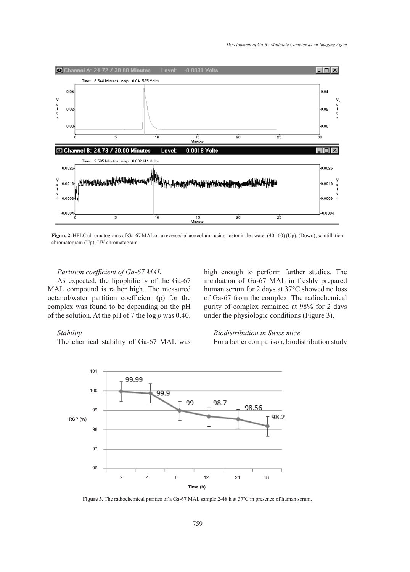

**Figure 2.** HPLC chromatograms of Ga-67 MAL on a reversed phase column using acetonitrile : water (40 : 60) (Up); (Down); scintillation chromatogram (Up); UV chromatogram.

# *Partition coefficient of Ga-67 MAL*

As expected, the lipophilicity of the Ga-67 MAL compound is rather high. The measured octanol/water partition coefficient (p) for the complex was found to be depending on the pH of the solution. At the pH of 7 the log *p* was 0.40.

high enough to perform further studies. The incubation of Ga-67 MAL in freshly prepared human serum for 2 days at 37°C showed no loss of Ga-67 from the complex. The radiochemical purity of complex remained at 98% for 2 days under the physiologic conditions (Figure 3).

# *Stability*

The chemical stability of Ga-67 MAL was

*Biodistribution in Swiss mice* For a better comparison, biodistribution study



**Figure 3.** The radiochemical purities of a Ga-67 MAL sample 2-48 h at 37ºC in presence of human serum.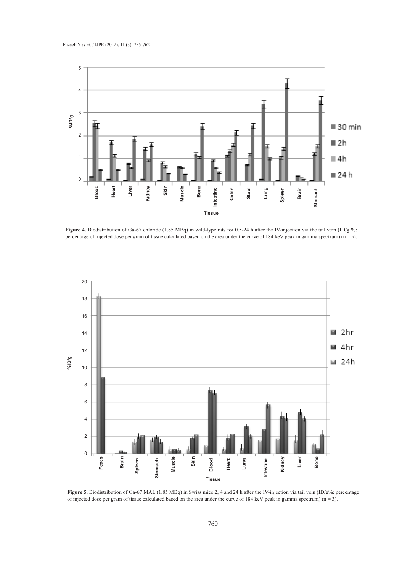

Figure 4. Biodistribution of Ga-67 chloride (1.85 MBq) in wild-type rats for 0.5-24 h after the IV-injection via the tail vein (ID/g %: percentage of injected dose per gram of tissue calculated based on the area under the curve of 184 keV peak in gamma spectrum) ( $n = 5$ ).



**Figure 5.** Biodistribution of Ga-67 MAL (1.85 MBq) in Swiss mice 2, 4 and 24 h after the IV-injection via tail vein (ID/g%: percentage of injected dose per gram of tissue calculated based on the area under the curve of 184 keV peak in gamma spectrum)  $(n = 3)$ .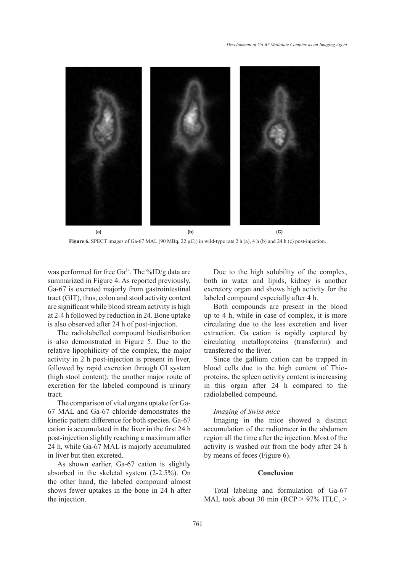

**Figure 6.** SPECT images of Ga-67 MAL (90 MBq, 22  $\mu$ Ci) in wild-type rats 2 h (a), 4 h (b) and 24 h (c) post-injection.

was performed for free Ga<sup>3+</sup>. The %ID/g data are summarized in Figure 4. As reported previously, Ga-67 is excreted majorly from gastrointestinal tract (GIT), thus, colon and stool activity content are significant while blood stream activity is high at 2-4 h followed by reduction in 24. Bone uptake is also observed after 24 h of post-injection.

The radiolabelled compound biodistribution is also demonstrated in Figure 5. Due to the relative lipophilicity of the complex, the major activity in 2 h post-injection is present in liver, followed by rapid excretion through GI system (high stool content); the another major route of excretion for the labeled compound is urinary tract.

The comparison of vital organs uptake for Ga-67 MAL and Ga-67 chloride demonstrates the kinetic pattern difference for both species. Ga-67 cation is accumulated in the liver in the first 24 h post-injection slightly reaching a maximum after 24 h, while Ga-67 MAL is majorly accumulated in liver but then excreted.

As shown earlier, Ga-67 cation is slightly absorbed in the skeletal system (2-2.5%). On the other hand, the labeled compound almost shows fewer uptakes in the bone in 24 h after the injection.

Due to the high solubility of the complex, both in water and lipids, kidney is another excretory organ and shows high activity for the labeled compound especially after 4 h.

Both compounds are present in the blood up to 4 h, while in case of complex, it is more circulating due to the less excretion and liver extraction. Ga cation is rapidly captured by circulating metalloproteins (transferrin) and transferred to the liver.

Since the gallium cation can be trapped in blood cells due to the high content of Thioproteins, the spleen activity content is increasing in this organ after 24 h compared to the radiolabelled compound.

## *Imaging of Swiss mice*

Imaging in the mice showed a distinct accumulation of the radiotracer in the abdomen region all the time after the injection. Most of the activity is washed out from the body after 24 h by means of feces (Figure 6).

# **Conclusion**

Total labeling and formulation of Ga-67 MAL took about 30 min (RCP > 97% ITLC, >